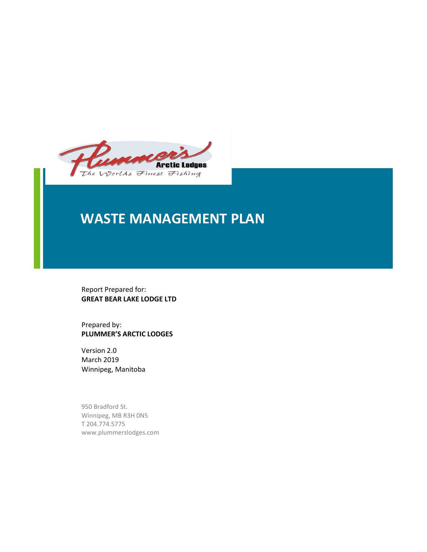

# **WASTE MANAGEMENT PLAN**

Report Prepared for: **GREAT BEAR LAKE LODGE LTD**

Prepared by: **PLUMMER'S ARCTIC LODGES**

Version 2.0 March 2019 Winnipeg, Manitoba

950 Bradford St. Winnipeg, MB R3H 0N5 T 204.774.5775 www.plummerslodges.com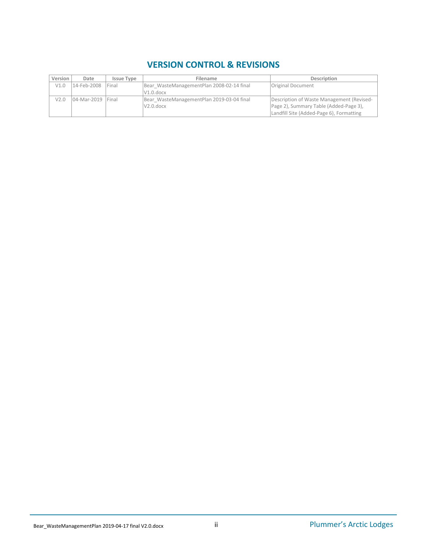# **VERSION CONTROL & REVISIONS**

| Version | Date                | <b>Issue Type</b> | <b>Description</b><br>Filename            |                                           |
|---------|---------------------|-------------------|-------------------------------------------|-------------------------------------------|
| V1.0    | 14-Feb-2008         | <b>IFinal</b>     | Bear WasteManagementPlan 2008-02-14 final | <b>Original Document</b>                  |
|         |                     |                   | $V1.0.$ docx                              |                                           |
| V2.0    | 04-Mar-2019   Final |                   | Bear WasteManagementPlan 2019-03-04 final | Description of Waste Management (Revised- |
|         |                     |                   | $V2.0.$ docx                              | Page 2), Summary Table (Added-Page 3),    |
|         |                     |                   |                                           | Landfill Site (Added-Page 6), Formatting  |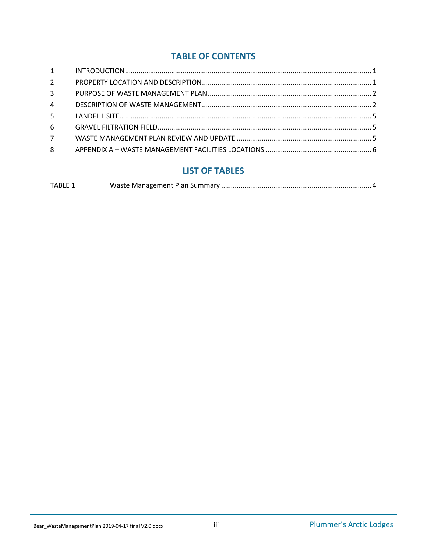# **TABLE OF CONTENTS**

| $1 \quad \blacksquare$ |  |
|------------------------|--|
| $2^{\circ}$            |  |
| $\overline{3}$         |  |
| $\overline{4}$         |  |
| 5 <sup>7</sup>         |  |
| 6                      |  |
| $7^{\circ}$            |  |
| 8                      |  |
|                        |  |

# **LIST OF TABLES**

| <b>TABLE 1</b> |  |
|----------------|--|
|                |  |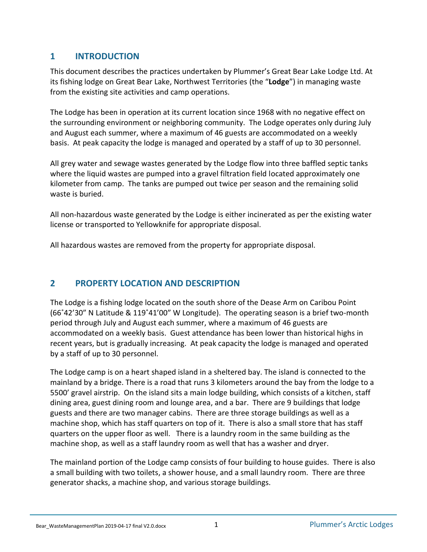# <span id="page-3-0"></span>**1 INTRODUCTION**

This document describes the practices undertaken by Plummer's Great Bear Lake Lodge Ltd. At its fishing lodge on Great Bear Lake, Northwest Territories (the "**Lodge**") in managing waste from the existing site activities and camp operations.

The Lodge has been in operation at its current location since 1968 with no negative effect on the surrounding environment or neighboring community. The Lodge operates only during July and August each summer, where a maximum of 46 guests are accommodated on a weekly basis. At peak capacity the lodge is managed and operated by a staff of up to 30 personnel.

All grey water and sewage wastes generated by the Lodge flow into three baffled septic tanks where the liquid wastes are pumped into a gravel filtration field located approximately one kilometer from camp. The tanks are pumped out twice per season and the remaining solid waste is buried.

All non-hazardous waste generated by the Lodge is either incinerated as per the existing water license or transported to Yellowknife for appropriate disposal.

All hazardous wastes are removed from the property for appropriate disposal.

# <span id="page-3-1"></span>**2 PROPERTY LOCATION AND DESCRIPTION**

The Lodge is a fishing lodge located on the south shore of the Dease Arm on Caribou Point (66˚42'30" N Latitude & 119˚41'00" W Longitude). The operating season is a brief two-month period through July and August each summer, where a maximum of 46 guests are accommodated on a weekly basis. Guest attendance has been lower than historical highs in recent years, but is gradually increasing. At peak capacity the lodge is managed and operated by a staff of up to 30 personnel.

The Lodge camp is on a heart shaped island in a sheltered bay. The island is connected to the mainland by a bridge. There is a road that runs 3 kilometers around the bay from the lodge to a 5500' gravel airstrip. On the island sits a main lodge building, which consists of a kitchen, staff dining area, guest dining room and lounge area, and a bar. There are 9 buildings that lodge guests and there are two manager cabins. There are three storage buildings as well as a machine shop, which has staff quarters on top of it. There is also a small store that has staff quarters on the upper floor as well. There is a laundry room in the same building as the machine shop, as well as a staff laundry room as well that has a washer and dryer.

The mainland portion of the Lodge camp consists of four building to house guides. There is also a small building with two toilets, a shower house, and a small laundry room. There are three generator shacks, a machine shop, and various storage buildings.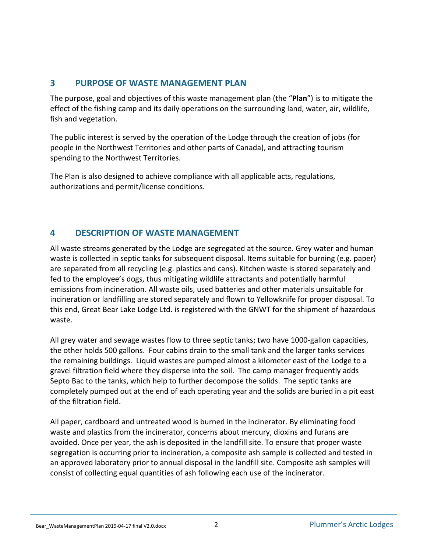# <span id="page-4-0"></span>**3 PURPOSE OF WASTE MANAGEMENT PLAN**

The purpose, goal and objectives of this waste management plan (the "**Plan**") is to mitigate the effect of the fishing camp and its daily operations on the surrounding land, water, air, wildlife, fish and vegetation.

The public interest is served by the operation of the Lodge through the creation of jobs (for people in the Northwest Territories and other parts of Canada), and attracting tourism spending to the Northwest Territories.

The Plan is also designed to achieve compliance with all applicable acts, regulations, authorizations and permit/license conditions.

# <span id="page-4-1"></span>**4 DESCRIPTION OF WASTE MANAGEMENT**

All waste streams generated by the Lodge are segregated at the source. Grey water and human waste is collected in septic tanks for subsequent disposal. Items suitable for burning (e.g. paper) are separated from all recycling (e.g. plastics and cans). Kitchen waste is stored separately and fed to the employee's dogs, thus mitigating wildlife attractants and potentially harmful emissions from incineration. All waste oils, used batteries and other materials unsuitable for incineration or landfilling are stored separately and flown to Yellowknife for proper disposal. To this end, Great Bear Lake Lodge Ltd. is registered with the GNWT for the shipment of hazardous waste.

All grey water and sewage wastes flow to three septic tanks; two have 1000-gallon capacities, the other holds 500 gallons. Four cabins drain to the small tank and the larger tanks services the remaining buildings. Liquid wastes are pumped almost a kilometer east of the Lodge to a gravel filtration field where they disperse into the soil. The camp manager frequently adds Septo Bac to the tanks, which help to further decompose the solids. The septic tanks are completely pumped out at the end of each operating year and the solids are buried in a pit east of the filtration field.

All paper, cardboard and untreated wood is burned in the incinerator. By eliminating food waste and plastics from the incinerator, concerns about mercury, dioxins and furans are avoided. Once per year, the ash is deposited in the landfill site. To ensure that proper waste segregation is occurring prior to incineration, a composite ash sample is collected and tested in an approved laboratory prior to annual disposal in the landfill site. Composite ash samples will consist of collecting equal quantities of ash following each use of the incinerator.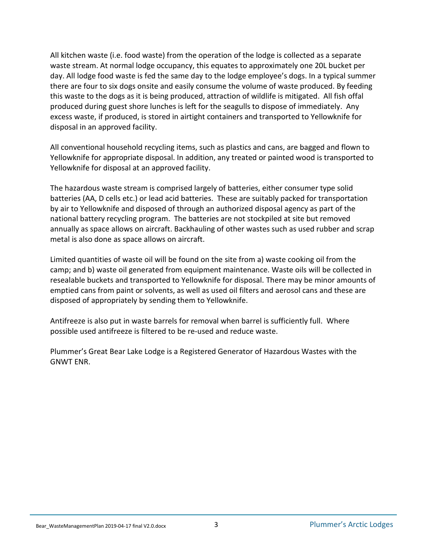All kitchen waste (i.e. food waste) from the operation of the lodge is collected as a separate waste stream. At normal lodge occupancy, this equates to approximately one 20L bucket per day. All lodge food waste is fed the same day to the lodge employee's dogs. In a typical summer there are four to six dogs onsite and easily consume the volume of waste produced. By feeding this waste to the dogs as it is being produced, attraction of wildlife is mitigated. All fish offal produced during guest shore lunches is left for the seagulls to dispose of immediately. Any excess waste, if produced, is stored in airtight containers and transported to Yellowknife for disposal in an approved facility.

All conventional household recycling items, such as plastics and cans, are bagged and flown to Yellowknife for appropriate disposal. In addition, any treated or painted wood is transported to Yellowknife for disposal at an approved facility.

The hazardous waste stream is comprised largely of batteries, either consumer type solid batteries (AA, D cells etc.) or lead acid batteries. These are suitably packed for transportation by air to Yellowknife and disposed of through an authorized disposal agency as part of the national battery recycling program. The batteries are not stockpiled at site but removed annually as space allows on aircraft. Backhauling of other wastes such as used rubber and scrap metal is also done as space allows on aircraft.

Limited quantities of waste oil will be found on the site from a) waste cooking oil from the camp; and b) waste oil generated from equipment maintenance. Waste oils will be collected in resealable buckets and transported to Yellowknife for disposal. There may be minor amounts of emptied cans from paint or solvents, as well as used oil filters and aerosol cans and these are disposed of appropriately by sending them to Yellowknife.

Antifreeze is also put in waste barrels for removal when barrel is sufficiently full. Where possible used antifreeze is filtered to be re-used and reduce waste.

Plummer's Great Bear Lake Lodge is a Registered Generator of Hazardous Wastes with the GNWT ENR.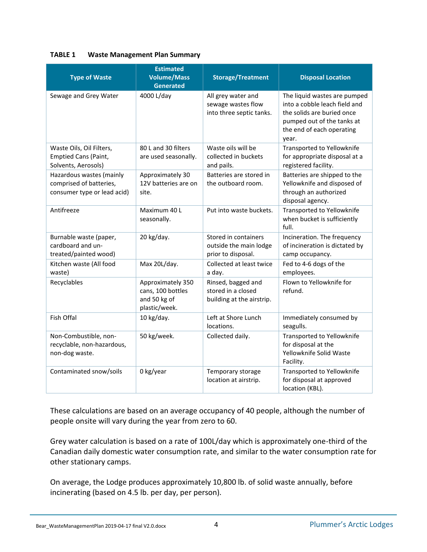#### <span id="page-6-0"></span>**TABLE 1 Waste Management Plan Summary**

| <b>Type of Waste</b>                                                               | <b>Estimated</b><br><b>Volume/Mass</b><br><b>Generated</b>              | <b>Storage/Treatment</b>                                              | <b>Disposal Location</b>                                                                                                                                        |
|------------------------------------------------------------------------------------|-------------------------------------------------------------------------|-----------------------------------------------------------------------|-----------------------------------------------------------------------------------------------------------------------------------------------------------------|
| Sewage and Grey Water                                                              | 4000 L/day                                                              | All grey water and<br>sewage wastes flow<br>into three septic tanks.  | The liquid wastes are pumped<br>into a cobble leach field and<br>the solids are buried once<br>pumped out of the tanks at<br>the end of each operating<br>year. |
| Waste Oils, Oil Filters,<br><b>Emptied Cans (Paint,</b><br>Solvents, Aerosols)     | 80 L and 30 filters<br>are used seasonally.                             | Waste oils will be<br>collected in buckets<br>and pails.              | Transported to Yellowknife<br>for appropriate disposal at a<br>registered facility.                                                                             |
| Hazardous wastes (mainly<br>comprised of batteries,<br>consumer type or lead acid) | Approximately 30<br>12V batteries are on<br>site.                       | Batteries are stored in<br>the outboard room.                         | Batteries are shipped to the<br>Yellowknife and disposed of<br>through an authorized<br>disposal agency.                                                        |
| Antifreeze                                                                         | Maximum 40 L<br>seasonally.                                             | Put into waste buckets.                                               | Transported to Yellowknife<br>when bucket is sufficiently<br>full.                                                                                              |
| Burnable waste (paper,<br>cardboard and un-<br>treated/painted wood)               | 20 kg/day.                                                              | Stored in containers<br>outside the main lodge<br>prior to disposal.  | Incineration. The frequency<br>of incineration is dictated by<br>camp occupancy.                                                                                |
| Kitchen waste (All food<br>waste)                                                  | Max 20L/day.                                                            | Collected at least twice<br>a day.                                    | Fed to 4-6 dogs of the<br>employees.                                                                                                                            |
| Recyclables                                                                        | Approximately 350<br>cans, 100 bottles<br>and 50 kg of<br>plastic/week. | Rinsed, bagged and<br>stored in a closed<br>building at the airstrip. | Flown to Yellowknife for<br>refund.                                                                                                                             |
| Fish Offal                                                                         | 10 kg/day.                                                              | Left at Shore Lunch<br>locations.                                     | Immediately consumed by<br>seagulls.                                                                                                                            |
| Non-Combustible, non-<br>recyclable, non-hazardous,<br>non-dog waste.              | 50 kg/week.                                                             | Collected daily.                                                      | Transported to Yellowknife<br>for disposal at the<br>Yellowknife Solid Waste<br>Facility.                                                                       |
| Contaminated snow/soils                                                            | 0 kg/year                                                               | Temporary storage<br>location at airstrip.                            | Transported to Yellowknife<br>for disposal at approved<br>location (KBL).                                                                                       |

These calculations are based on an average occupancy of 40 people, although the number of people onsite will vary during the year from zero to 60.

Grey water calculation is based on a rate of 100L/day which is approximately one-third of the Canadian daily domestic water consumption rate, and similar to the water consumption rate for other stationary camps.

On average, the Lodge produces approximately 10,800 lb. of solid waste annually, before incinerating (based on 4.5 lb. per day, per person).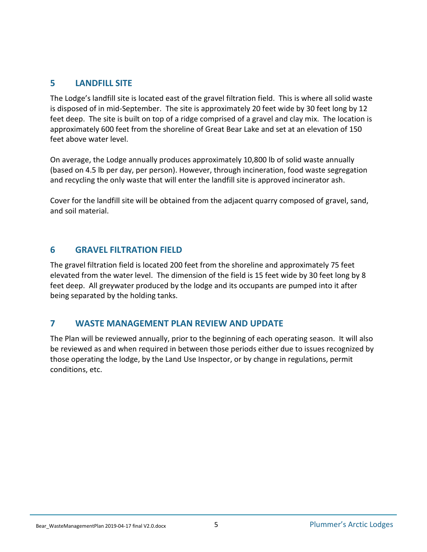# <span id="page-7-0"></span>**5 LANDFILL SITE**

The Lodge's landfill site is located east of the gravel filtration field. This is where all solid waste is disposed of in mid-September. The site is approximately 20 feet wide by 30 feet long by 12 feet deep. The site is built on top of a ridge comprised of a gravel and clay mix. The location is approximately 600 feet from the shoreline of Great Bear Lake and set at an elevation of 150 feet above water level.

On average, the Lodge annually produces approximately 10,800 lb of solid waste annually (based on 4.5 lb per day, per person). However, through incineration, food waste segregation and recycling the only waste that will enter the landfill site is approved incinerator ash.

Cover for the landfill site will be obtained from the adjacent quarry composed of gravel, sand, and soil material.

#### <span id="page-7-1"></span>**6 GRAVEL FILTRATION FIELD**

The gravel filtration field is located 200 feet from the shoreline and approximately 75 feet elevated from the water level. The dimension of the field is 15 feet wide by 30 feet long by 8 feet deep. All greywater produced by the lodge and its occupants are pumped into it after being separated by the holding tanks.

#### <span id="page-7-2"></span>**7 WASTE MANAGEMENT PLAN REVIEW AND UPDATE**

The Plan will be reviewed annually, prior to the beginning of each operating season. It will also be reviewed as and when required in between those periods either due to issues recognized by those operating the lodge, by the Land Use Inspector, or by change in regulations, permit conditions, etc.